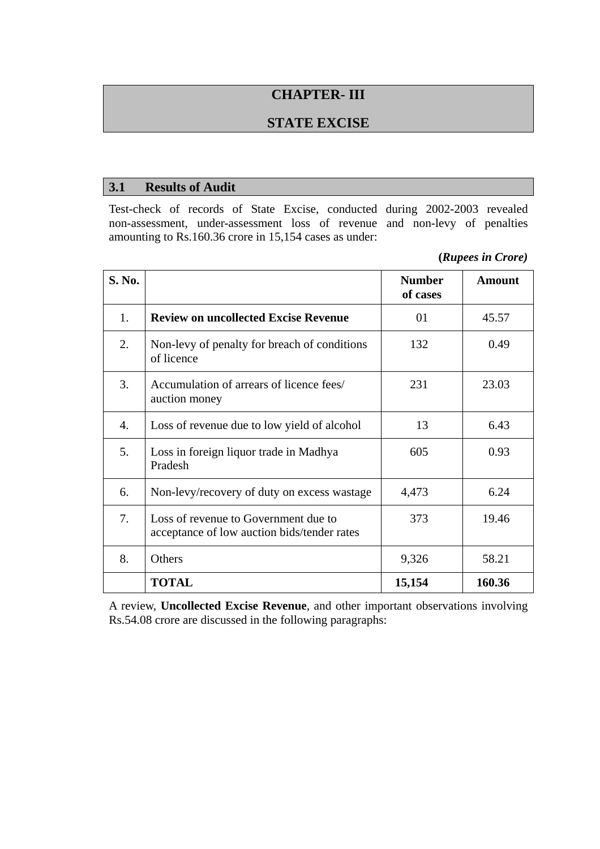# **CHAPTER- III**

### **STATE EXCISE**

#### **3.1 Results of Audit**

Test-check of records of State Excise, conducted during 2002-2003 revealed non-assessment, under-assessment loss of revenue and non-levy of penalties amounting to Rs.160.36 crore in 15,154 cases as under:

**(***Rupees in Crore)* 

| S. No. |                                                                                     | <b>Number</b><br>of cases | <b>Amount</b> |
|--------|-------------------------------------------------------------------------------------|---------------------------|---------------|
| 1.     | <b>Review on uncollected Excise Revenue</b>                                         | 01                        | 45.57         |
| 2.     | Non-levy of penalty for breach of conditions<br>of licence                          | 132                       | 0.49          |
| 3.     | Accumulation of arrears of licence fees/<br>auction money                           | 231                       | 23.03         |
| 4.     | Loss of revenue due to low yield of alcohol                                         | 13                        | 6.43          |
| 5.     | Loss in foreign liquor trade in Madhya<br>Pradesh                                   | 605                       | 0.93          |
| 6.     | Non-levy/recovery of duty on excess wastage                                         | 4,473                     | 6.24          |
| 7.     | Loss of revenue to Government due to<br>acceptance of low auction bids/tender rates | 373                       | 19.46         |
| 8.     | Others                                                                              | 9,326                     | 58.21         |
|        | <b>TOTAL</b>                                                                        | 15,154                    | 160.36        |

A review, **Uncollected Excise Revenue**, and other important observations involving Rs.54.08 crore are discussed in the following paragraphs: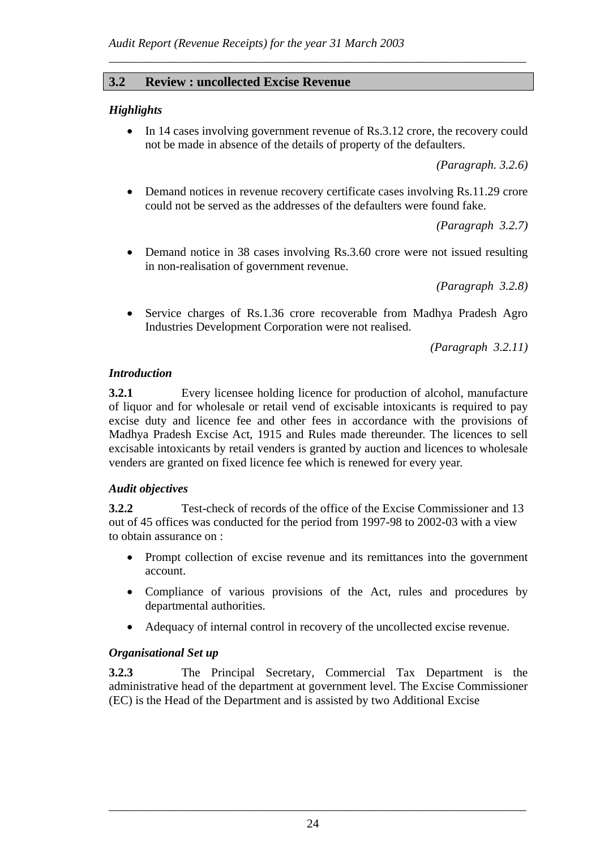### **3.2 Review : uncollected Excise Revenue**

#### *Highlights*

• In 14 cases involving government revenue of Rs.3.12 crore, the recovery could not be made in absence of the details of property of the defaulters.

*\_\_\_\_\_\_\_\_\_\_\_\_\_\_\_\_\_\_\_\_\_\_\_\_\_\_\_\_\_\_\_\_\_\_\_\_\_\_\_\_\_\_\_\_\_\_\_\_\_\_\_\_\_\_\_\_\_\_\_\_\_\_\_\_\_\_\_\_\_* 

*(Paragraph. 3.2.6)* 

• Demand notices in revenue recovery certificate cases involving Rs.11.29 crore could not be served as the addresses of the defaulters were found fake.

*(Paragraph 3.2.7)* 

• Demand notice in 38 cases involving Rs.3.60 crore were not issued resulting in non-realisation of government revenue.

*(Paragraph 3.2.8)* 

• Service charges of Rs.1.36 crore recoverable from Madhya Pradesh Agro Industries Development Corporation were not realised.

*(Paragraph 3.2.11)* 

#### *Introduction*

**3.2.1** Every licensee holding licence for production of alcohol, manufacture of liquor and for wholesale or retail vend of excisable intoxicants is required to pay excise duty and licence fee and other fees in accordance with the provisions of Madhya Pradesh Excise Act, 1915 and Rules made thereunder. The licences to sell excisable intoxicants by retail venders is granted by auction and licences to wholesale venders are granted on fixed licence fee which is renewed for every year.

#### *Audit objectives*

**3.2.2** Test-check of records of the office of the Excise Commissioner and 13 out of 45 offices was conducted for the period from 1997-98 to 2002-03 with a view to obtain assurance on :

- Prompt collection of excise revenue and its remittances into the government account.
- Compliance of various provisions of the Act, rules and procedures by departmental authorities.
- Adequacy of internal control in recovery of the uncollected excise revenue.

#### *Organisational Set up*

**3.2.3** The Principal Secretary, Commercial Tax Department is the administrative head of the department at government level. The Excise Commissioner (EC) is the Head of the Department and is assisted by two Additional Excise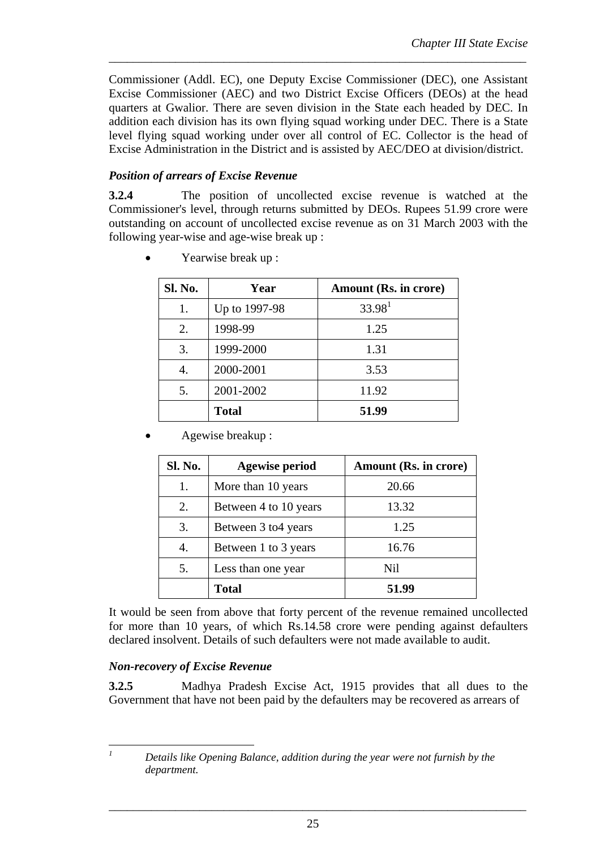Commissioner (Addl. EC), one Deputy Excise Commissioner (DEC), one Assistant Excise Commissioner (AEC) and two District Excise Officers (DEOs) at the head quarters at Gwalior. There are seven division in the State each headed by DEC. In addition each division has its own flying squad working under DEC. There is a State level flying squad working under over all control of EC. Collector is the head of Excise Administration in the District and is assisted by AEC/DEO at division/district.

*\_\_\_\_\_\_\_\_\_\_\_\_\_\_\_\_\_\_\_\_\_\_\_\_\_\_\_\_\_\_\_\_\_\_\_\_\_\_\_\_\_\_\_\_\_\_\_\_\_\_\_\_\_\_\_\_\_\_\_\_\_\_\_\_\_\_\_\_\_* 

### *Position of arrears of Excise Revenue*

**3.2.4** The position of uncollected excise revenue is watched at the Commissioner's level, through returns submitted by DEOs. Rupees 51.99 crore were outstanding on account of uncollected excise revenue as on 31 March 2003 with the following year-wise and age-wise break up :

| Sl. No. | Year          | Amount (Rs. in crore) |
|---------|---------------|-----------------------|
| 1.      | Up to 1997-98 | 33.98 <sup>1</sup>    |
| 2.      | 1998-99       | 1.25                  |
| 3.      | 1999-2000     | 1.31                  |
| 4.      | 2000-2001     | 3.53                  |
| 5.      | 2001-2002     | 11.92                 |
|         | <b>Total</b>  | 51.99                 |

• Yearwise break up :

• Agewise breakup :

| Sl. No. | <b>Agewise period</b> | Amount (Rs. in crore) |
|---------|-----------------------|-----------------------|
| 1.      | More than 10 years    | 20.66                 |
| 2.      | Between 4 to 10 years | 13.32                 |
| 3.      | Between 3 to 4 years  | 1.25                  |
| 4.      | Between 1 to 3 years  | 16.76                 |
| 5.      | Less than one year    | Nil                   |
|         | <b>Total</b>          | 51.99                 |

It would be seen from above that forty percent of the revenue remained uncollected for more than 10 years, of which Rs.14.58 crore were pending against defaulters declared insolvent. Details of such defaulters were not made available to audit.

### *Non-recovery of Excise Revenue*

**3.2.5** Madhya Pradesh Excise Act, 1915 provides that all dues to the Government that have not been paid by the defaulters may be recovered as arrears of

*1*

*Details like Opening Balance, addition during the year were not furnish by the department.*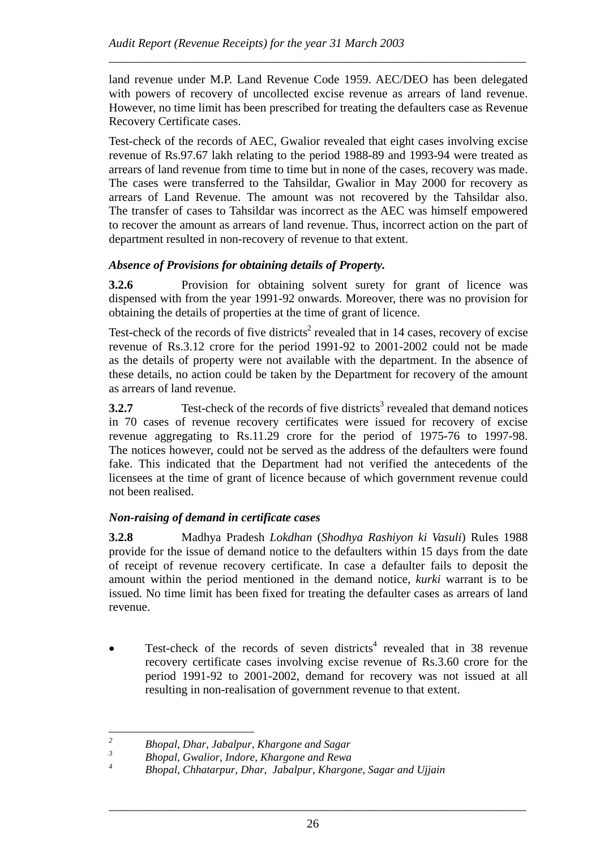land revenue under M.P. Land Revenue Code 1959. AEC/DEO has been delegated with powers of recovery of uncollected excise revenue as arrears of land revenue. However, no time limit has been prescribed for treating the defaulters case as Revenue Recovery Certificate cases.

*\_\_\_\_\_\_\_\_\_\_\_\_\_\_\_\_\_\_\_\_\_\_\_\_\_\_\_\_\_\_\_\_\_\_\_\_\_\_\_\_\_\_\_\_\_\_\_\_\_\_\_\_\_\_\_\_\_\_\_\_\_\_\_\_\_\_\_\_\_* 

Test-check of the records of AEC, Gwalior revealed that eight cases involving excise revenue of Rs.97.67 lakh relating to the period 1988-89 and 1993-94 were treated as arrears of land revenue from time to time but in none of the cases, recovery was made. The cases were transferred to the Tahsildar, Gwalior in May 2000 for recovery as arrears of Land Revenue. The amount was not recovered by the Tahsildar also. The transfer of cases to Tahsildar was incorrect as the AEC was himself empowered to recover the amount as arrears of land revenue. Thus, incorrect action on the part of department resulted in non-recovery of revenue to that extent.

# *Absence of Provisions for obtaining details of Property.*

**3.2.6** Provision for obtaining solvent surety for grant of licence was dispensed with from the year 1991-92 onwards. Moreover, there was no provision for obtaining the details of properties at the time of grant of licence.

Test-check of the records of five districts<sup>2</sup> revealed that in 14 cases, recovery of excise revenue of Rs.3.12 crore for the period 1991-92 to 2001-2002 could not be made as the details of property were not available with the department. In the absence of these details, no action could be taken by the Department for recovery of the amount as arrears of land revenue.

**3.2.7** Test-check of the records of five districts<sup>3</sup> revealed that demand notices in 70 cases of revenue recovery certificates were issued for recovery of excise revenue aggregating to Rs.11.29 crore for the period of 1975-76 to 1997-98. The notices however, could not be served as the address of the defaulters were found fake. This indicated that the Department had not verified the antecedents of the licensees at the time of grant of licence because of which government revenue could not been realised.

### *Non-raising of demand in certificate cases*

**3.2.8** Madhya Pradesh *Lokdhan* (*Shodhya Rashiyon ki Vasuli*) Rules 1988 provide for the issue of demand notice to the defaulters within 15 days from the date of receipt of revenue recovery certificate. In case a defaulter fails to deposit the amount within the period mentioned in the demand notice, *kurki* warrant is to be issued. No time limit has been fixed for treating the defaulter cases as arrears of land revenue.

• Test-check of the records of seven districts<sup>4</sup> revealed that in 38 revenue recovery certificate cases involving excise revenue of Rs.3.60 crore for the period 1991-92 to 2001-2002, demand for recovery was not issued at all resulting in non-realisation of government revenue to that extent.

 *2 Bhopal, Dhar, Jabalpur, Khargone and Sagar* 

*<sup>3</sup> Bhopal, Gwalior, Indore, Khargone and Rewa* 

*<sup>4</sup> Bhopal, Chhatarpur, Dhar, Jabalpur, Khargone, Sagar and Ujjain*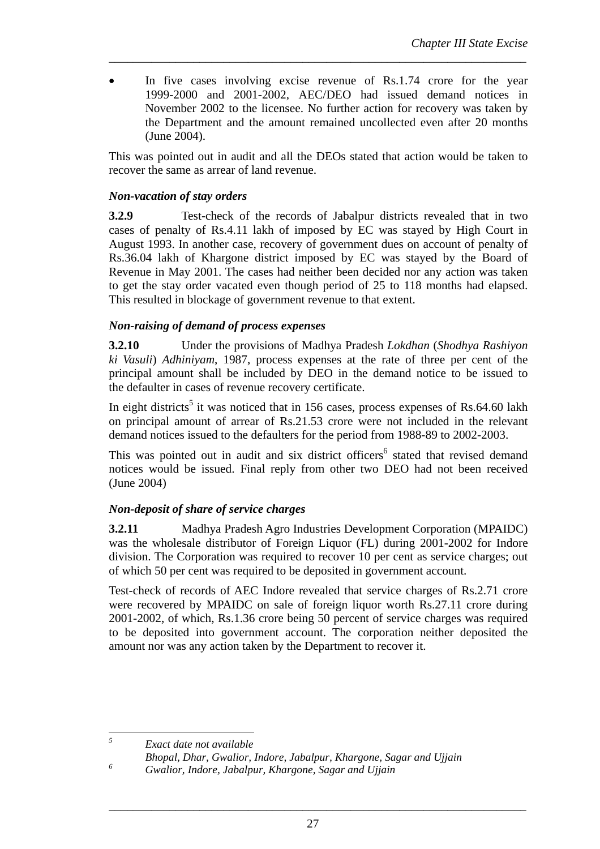In five cases involving excise revenue of Rs.1.74 crore for the year 1999-2000 and 2001-2002, AEC/DEO had issued demand notices in November 2002 to the licensee. No further action for recovery was taken by the Department and the amount remained uncollected even after 20 months (June 2004).

*\_\_\_\_\_\_\_\_\_\_\_\_\_\_\_\_\_\_\_\_\_\_\_\_\_\_\_\_\_\_\_\_\_\_\_\_\_\_\_\_\_\_\_\_\_\_\_\_\_\_\_\_\_\_\_\_\_\_\_\_\_\_\_\_\_\_\_\_\_* 

This was pointed out in audit and all the DEOs stated that action would be taken to recover the same as arrear of land revenue.

### *Non-vacation of stay orders*

**3.2.9** Test-check of the records of Jabalpur districts revealed that in two cases of penalty of Rs.4.11 lakh of imposed by EC was stayed by High Court in August 1993. In another case, recovery of government dues on account of penalty of Rs.36.04 lakh of Khargone district imposed by EC was stayed by the Board of Revenue in May 2001. The cases had neither been decided nor any action was taken to get the stay order vacated even though period of 25 to 118 months had elapsed. This resulted in blockage of government revenue to that extent.

#### *Non-raising of demand of process expenses*

**3.2.10** Under the provisions of Madhya Pradesh *Lokdhan* (*Shodhya Rashiyon ki Vasuli*) *Adhiniyam*, 1987, process expenses at the rate of three per cent of the principal amount shall be included by DEO in the demand notice to be issued to the defaulter in cases of revenue recovery certificate.

In eight districts<sup>5</sup> it was noticed that in 156 cases, process expenses of Rs.64.60 lakh on principal amount of arrear of Rs.21.53 crore were not included in the relevant demand notices issued to the defaulters for the period from 1988-89 to 2002-2003.

This was pointed out in audit and six district officers<sup>6</sup> stated that revised demand notices would be issued. Final reply from other two DEO had not been received (June 2004)

### *Non-deposit of share of service charges*

**3.2.11** Madhya Pradesh Agro Industries Development Corporation (MPAIDC) was the wholesale distributor of Foreign Liquor (FL) during 2001-2002 for Indore division. The Corporation was required to recover 10 per cent as service charges; out of which 50 per cent was required to be deposited in government account.

Test-check of records of AEC Indore revealed that service charges of Rs.2.71 crore were recovered by MPAIDC on sale of foreign liquor worth Rs.27.11 crore during 2001-2002, of which, Rs.1.36 crore being 50 percent of service charges was required to be deposited into government account. The corporation neither deposited the amount nor was any action taken by the Department to recover it.

 *5 Exact date not available* 

*6*

*Bhopal, Dhar, Gwalior, Indore, Jabalpur, Khargone, Sagar and Ujjain* 

*Gwalior, Indore, Jabalpur, Khargone, Sagar and Ujjain*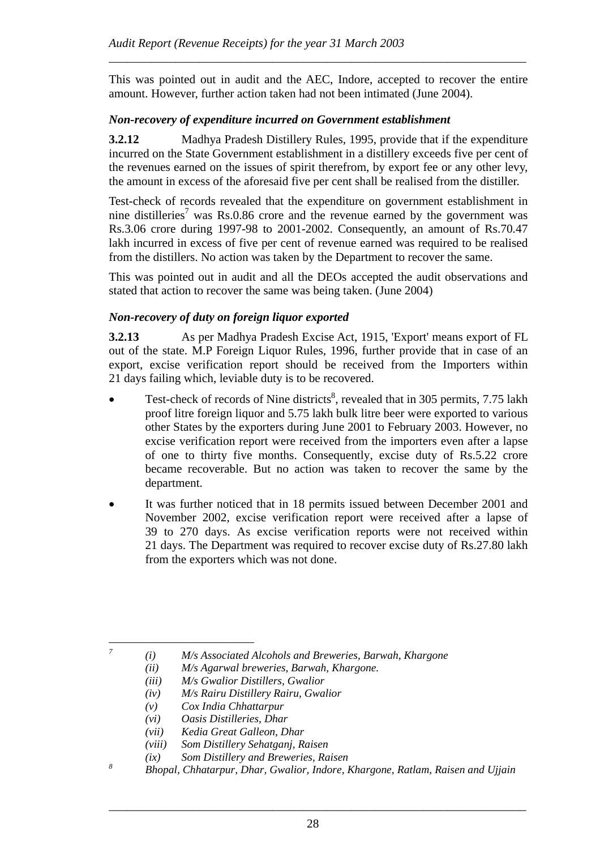This was pointed out in audit and the AEC, Indore, accepted to recover the entire amount. However, further action taken had not been intimated (June 2004).

*\_\_\_\_\_\_\_\_\_\_\_\_\_\_\_\_\_\_\_\_\_\_\_\_\_\_\_\_\_\_\_\_\_\_\_\_\_\_\_\_\_\_\_\_\_\_\_\_\_\_\_\_\_\_\_\_\_\_\_\_\_\_\_\_\_\_\_\_\_* 

#### *Non-recovery of expenditure incurred on Government establishment*

**3.2.12** Madhya Pradesh Distillery Rules, 1995, provide that if the expenditure incurred on the State Government establishment in a distillery exceeds five per cent of the revenues earned on the issues of spirit therefrom, by export fee or any other levy, the amount in excess of the aforesaid five per cent shall be realised from the distiller.

Test-check of records revealed that the expenditure on government establishment in nine distilleries<sup>7</sup> was Rs.0.86 crore and the revenue earned by the government was Rs.3.06 crore during 1997-98 to 2001-2002. Consequently, an amount of Rs.70.47 lakh incurred in excess of five per cent of revenue earned was required to be realised from the distillers. No action was taken by the Department to recover the same.

This was pointed out in audit and all the DEOs accepted the audit observations and stated that action to recover the same was being taken. (June 2004)

#### *Non-recovery of duty on foreign liquor exported*

**3.2.13** As per Madhya Pradesh Excise Act, 1915, 'Export' means export of FL out of the state. M.P Foreign Liquor Rules, 1996, further provide that in case of an export, excise verification report should be received from the Importers within 21 days failing which, leviable duty is to be recovered.

- Test-check of records of Nine districts<sup>8</sup>, revealed that in 305 permits, 7.75 lakh proof litre foreign liquor and 5.75 lakh bulk litre beer were exported to various other States by the exporters during June 2001 to February 2003. However, no excise verification report were received from the importers even after a lapse of one to thirty five months. Consequently, excise duty of Rs.5.22 crore became recoverable. But no action was taken to recover the same by the department.
- It was further noticed that in 18 permits issued between December 2001 and November 2002, excise verification report were received after a lapse of 39 to 270 days. As excise verification reports were not received within 21 days. The Department was required to recover excise duty of Rs.27.80 lakh from the exporters which was not done.

*7*

 *<sup>(</sup>i) M/s Associated Alcohols and Breweries, Barwah, Khargone* 

*<sup>(</sup>ii) M/s Agarwal breweries, Barwah, Khargone.* 

*<sup>(</sup>iii) M/s Gwalior Distillers, Gwalior* 

*<sup>(</sup>iv) M/s Rairu Distillery Rairu, Gwalior* 

*<sup>(</sup>v) Cox India Chhattarpur* 

*<sup>(</sup>vi) Oasis Distilleries, Dhar* 

*<sup>(</sup>vii) Kedia Great Galleon, Dhar* 

*<sup>(</sup>viii) Som Distillery Sehatganj, Raisen* 

*<sup>(</sup>ix) Som Distillery and Breweries, Raisen* 

*<sup>8</sup> Bhopal, Chhatarpur, Dhar, Gwalior, Indore, Khargone, Ratlam, Raisen and Ujjain*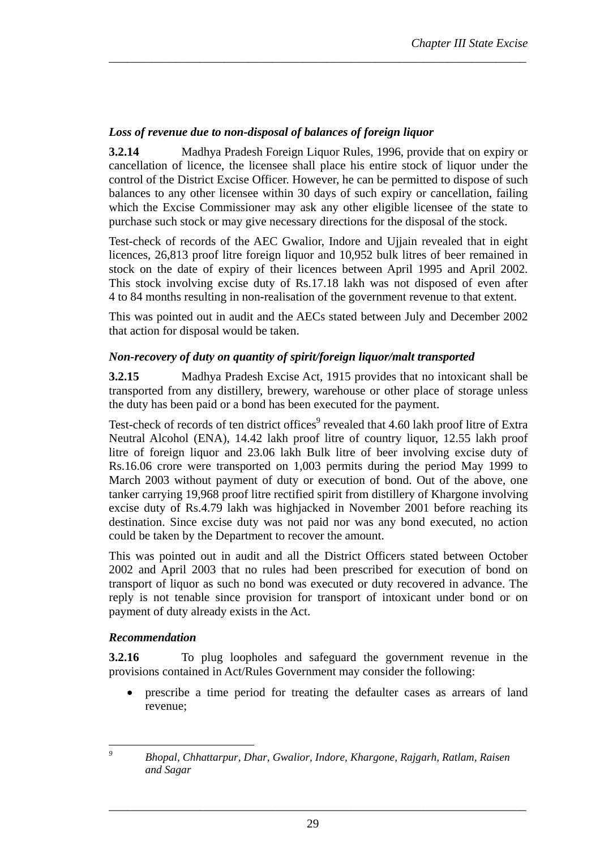# *Loss of revenue due to non-disposal of balances of foreign liquor*

**3.2.14** Madhya Pradesh Foreign Liquor Rules, 1996, provide that on expiry or cancellation of licence, the licensee shall place his entire stock of liquor under the control of the District Excise Officer. However, he can be permitted to dispose of such balances to any other licensee within 30 days of such expiry or cancellation, failing which the Excise Commissioner may ask any other eligible licensee of the state to purchase such stock or may give necessary directions for the disposal of the stock.

*\_\_\_\_\_\_\_\_\_\_\_\_\_\_\_\_\_\_\_\_\_\_\_\_\_\_\_\_\_\_\_\_\_\_\_\_\_\_\_\_\_\_\_\_\_\_\_\_\_\_\_\_\_\_\_\_\_\_\_\_\_\_\_\_\_\_\_\_\_* 

Test-check of records of the AEC Gwalior, Indore and Ujjain revealed that in eight licences, 26,813 proof litre foreign liquor and 10,952 bulk litres of beer remained in stock on the date of expiry of their licences between April 1995 and April 2002. This stock involving excise duty of Rs.17.18 lakh was not disposed of even after 4 to 84 months resulting in non-realisation of the government revenue to that extent.

This was pointed out in audit and the AECs stated between July and December 2002 that action for disposal would be taken.

#### *Non-recovery of duty on quantity of spirit/foreign liquor/malt transported*

**3.2.15** Madhya Pradesh Excise Act, 1915 provides that no intoxicant shall be transported from any distillery, brewery, warehouse or other place of storage unless the duty has been paid or a bond has been executed for the payment.

Test-check of records of ten district offices<sup>9</sup> revealed that 4.60 lakh proof litre of Extra Neutral Alcohol (ENA), 14.42 lakh proof litre of country liquor, 12.55 lakh proof litre of foreign liquor and 23.06 lakh Bulk litre of beer involving excise duty of Rs.16.06 crore were transported on 1,003 permits during the period May 1999 to March 2003 without payment of duty or execution of bond. Out of the above, one tanker carrying 19,968 proof litre rectified spirit from distillery of Khargone involving excise duty of Rs.4.79 lakh was highjacked in November 2001 before reaching its destination. Since excise duty was not paid nor was any bond executed, no action could be taken by the Department to recover the amount.

This was pointed out in audit and all the District Officers stated between October 2002 and April 2003 that no rules had been prescribed for execution of bond on transport of liquor as such no bond was executed or duty recovered in advance. The reply is not tenable since provision for transport of intoxicant under bond or on payment of duty already exists in the Act.

#### *Recommendation*

**3.2.16** To plug loopholes and safeguard the government revenue in the provisions contained in Act/Rules Government may consider the following:

• prescribe a time period for treating the defaulter cases as arrears of land revenue;

 *9*

*Bhopal, Chhattarpur, Dhar, Gwalior, Indore, Khargone, Rajgarh, Ratlam, Raisen and Sagar*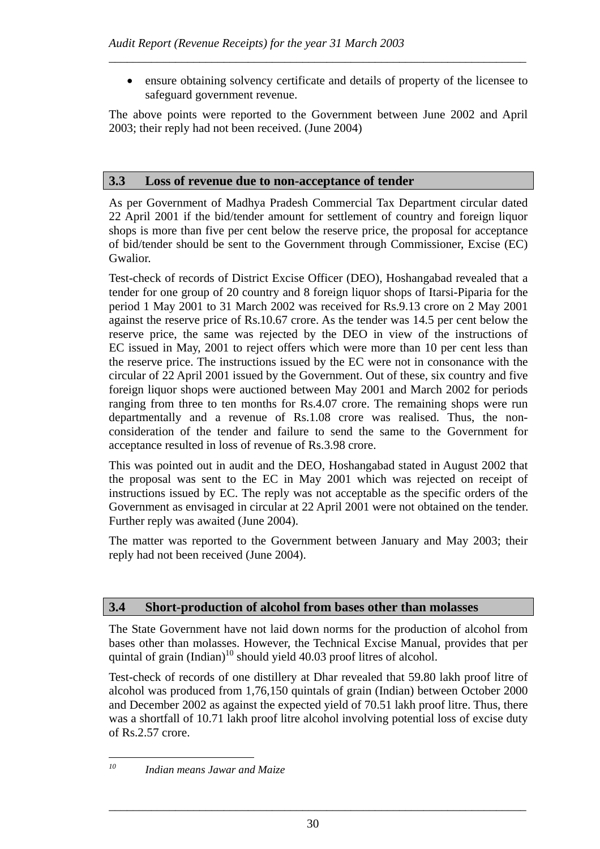• ensure obtaining solvency certificate and details of property of the licensee to safeguard government revenue.

The above points were reported to the Government between June 2002 and April 2003; their reply had not been received. (June 2004)

*\_\_\_\_\_\_\_\_\_\_\_\_\_\_\_\_\_\_\_\_\_\_\_\_\_\_\_\_\_\_\_\_\_\_\_\_\_\_\_\_\_\_\_\_\_\_\_\_\_\_\_\_\_\_\_\_\_\_\_\_\_\_\_\_\_\_\_\_\_* 

# **3.3 Loss of revenue due to non-acceptance of tender**

As per Government of Madhya Pradesh Commercial Tax Department circular dated 22 April 2001 if the bid/tender amount for settlement of country and foreign liquor shops is more than five per cent below the reserve price, the proposal for acceptance of bid/tender should be sent to the Government through Commissioner, Excise (EC) Gwalior.

Test-check of records of District Excise Officer (DEO), Hoshangabad revealed that a tender for one group of 20 country and 8 foreign liquor shops of Itarsi-Piparia for the period 1 May 2001 to 31 March 2002 was received for Rs.9.13 crore on 2 May 2001 against the reserve price of Rs.10.67 crore. As the tender was 14.5 per cent below the reserve price, the same was rejected by the DEO in view of the instructions of EC issued in May, 2001 to reject offers which were more than 10 per cent less than the reserve price. The instructions issued by the EC were not in consonance with the circular of 22 April 2001 issued by the Government. Out of these, six country and five foreign liquor shops were auctioned between May 2001 and March 2002 for periods ranging from three to ten months for Rs.4.07 crore. The remaining shops were run departmentally and a revenue of Rs.1.08 crore was realised. Thus, the nonconsideration of the tender and failure to send the same to the Government for acceptance resulted in loss of revenue of Rs.3.98 crore.

This was pointed out in audit and the DEO, Hoshangabad stated in August 2002 that the proposal was sent to the EC in May 2001 which was rejected on receipt of instructions issued by EC. The reply was not acceptable as the specific orders of the Government as envisaged in circular at 22 April 2001 were not obtained on the tender. Further reply was awaited (June 2004).

The matter was reported to the Government between January and May 2003; their reply had not been received (June 2004).

### **3.4 Short-production of alcohol from bases other than molasses**

The State Government have not laid down norms for the production of alcohol from bases other than molasses. However, the Technical Excise Manual, provides that per quintal of grain (Indian)<sup>10</sup> should yield 40.03 proof litres of alcohol.

Test-check of records of one distillery at Dhar revealed that 59.80 lakh proof litre of alcohol was produced from 1,76,150 quintals of grain (Indian) between October 2000 and December 2002 as against the expected yield of 70.51 lakh proof litre. Thus, there was a shortfall of 10.71 lakh proof litre alcohol involving potential loss of excise duty of Rs.2.57 crore.

10

*<sup>10</sup> Indian means Jawar and Maize*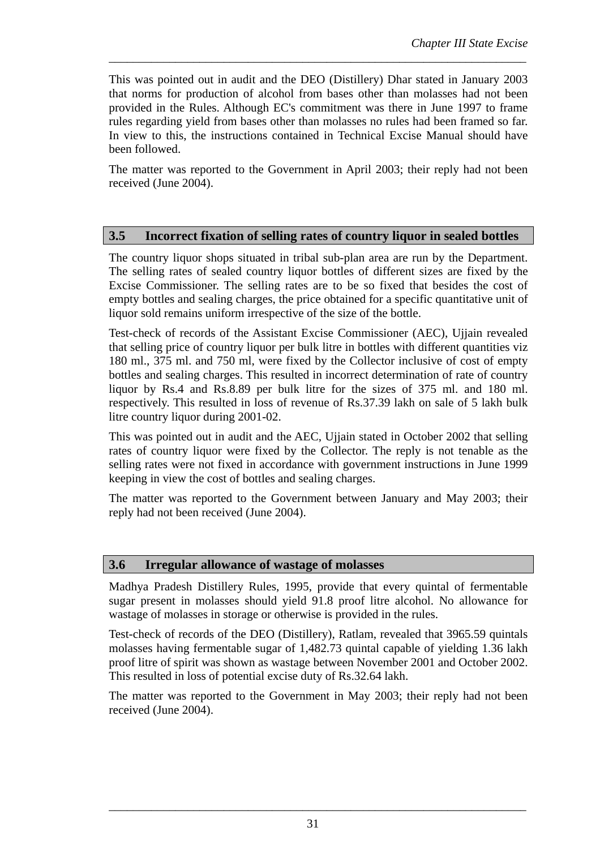This was pointed out in audit and the DEO (Distillery) Dhar stated in January 2003 that norms for production of alcohol from bases other than molasses had not been provided in the Rules. Although EC's commitment was there in June 1997 to frame rules regarding yield from bases other than molasses no rules had been framed so far. In view to this, the instructions contained in Technical Excise Manual should have been followed.

*\_\_\_\_\_\_\_\_\_\_\_\_\_\_\_\_\_\_\_\_\_\_\_\_\_\_\_\_\_\_\_\_\_\_\_\_\_\_\_\_\_\_\_\_\_\_\_\_\_\_\_\_\_\_\_\_\_\_\_\_\_\_\_\_\_\_\_\_\_* 

The matter was reported to the Government in April 2003; their reply had not been received (June 2004).

#### **3.5 Incorrect fixation of selling rates of country liquor in sealed bottles**

The country liquor shops situated in tribal sub-plan area are run by the Department. The selling rates of sealed country liquor bottles of different sizes are fixed by the Excise Commissioner. The selling rates are to be so fixed that besides the cost of empty bottles and sealing charges, the price obtained for a specific quantitative unit of liquor sold remains uniform irrespective of the size of the bottle.

Test-check of records of the Assistant Excise Commissioner (AEC), Ujjain revealed that selling price of country liquor per bulk litre in bottles with different quantities viz 180 ml., 375 ml. and 750 ml, were fixed by the Collector inclusive of cost of empty bottles and sealing charges. This resulted in incorrect determination of rate of country liquor by Rs.4 and Rs.8.89 per bulk litre for the sizes of 375 ml. and 180 ml. respectively. This resulted in loss of revenue of Rs.37.39 lakh on sale of 5 lakh bulk litre country liquor during 2001-02.

This was pointed out in audit and the AEC, Ujjain stated in October 2002 that selling rates of country liquor were fixed by the Collector. The reply is not tenable as the selling rates were not fixed in accordance with government instructions in June 1999 keeping in view the cost of bottles and sealing charges.

The matter was reported to the Government between January and May 2003; their reply had not been received (June 2004).

#### **3.6 Irregular allowance of wastage of molasses**

Madhya Pradesh Distillery Rules, 1995, provide that every quintal of fermentable sugar present in molasses should yield 91.8 proof litre alcohol. No allowance for wastage of molasses in storage or otherwise is provided in the rules.

Test-check of records of the DEO (Distillery), Ratlam, revealed that 3965.59 quintals molasses having fermentable sugar of 1,482.73 quintal capable of yielding 1.36 lakh proof litre of spirit was shown as wastage between November 2001 and October 2002. This resulted in loss of potential excise duty of Rs.32.64 lakh.

The matter was reported to the Government in May 2003; their reply had not been received (June 2004).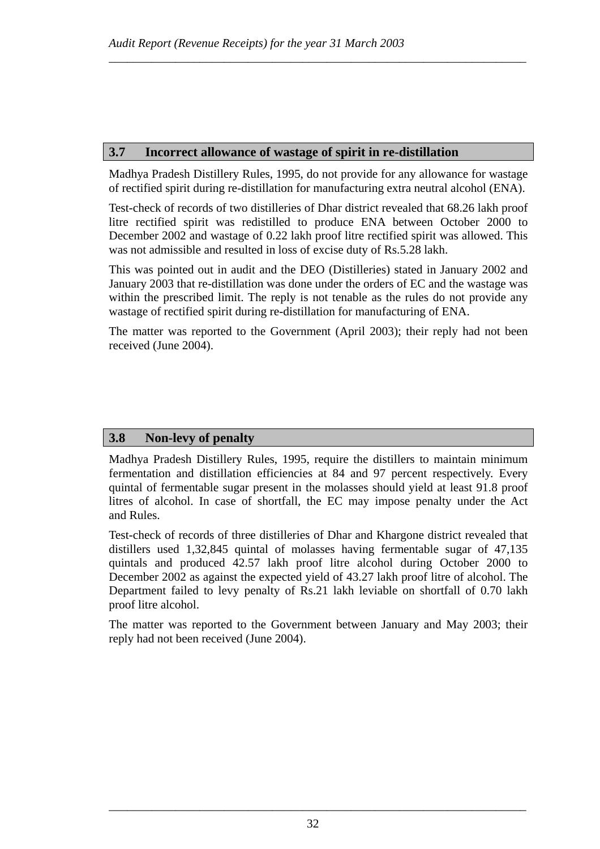# **3.7 Incorrect allowance of wastage of spirit in re-distillation**

Madhya Pradesh Distillery Rules, 1995, do not provide for any allowance for wastage of rectified spirit during re-distillation for manufacturing extra neutral alcohol (ENA).

*\_\_\_\_\_\_\_\_\_\_\_\_\_\_\_\_\_\_\_\_\_\_\_\_\_\_\_\_\_\_\_\_\_\_\_\_\_\_\_\_\_\_\_\_\_\_\_\_\_\_\_\_\_\_\_\_\_\_\_\_\_\_\_\_\_\_\_\_\_* 

Test-check of records of two distilleries of Dhar district revealed that 68.26 lakh proof litre rectified spirit was redistilled to produce ENA between October 2000 to December 2002 and wastage of 0.22 lakh proof litre rectified spirit was allowed. This was not admissible and resulted in loss of excise duty of Rs.5.28 lakh.

This was pointed out in audit and the DEO (Distilleries) stated in January 2002 and January 2003 that re-distillation was done under the orders of EC and the wastage was within the prescribed limit. The reply is not tenable as the rules do not provide any wastage of rectified spirit during re-distillation for manufacturing of ENA.

The matter was reported to the Government (April 2003); their reply had not been received (June 2004).

### **3.8 Non-levy of penalty**

Madhya Pradesh Distillery Rules, 1995, require the distillers to maintain minimum fermentation and distillation efficiencies at 84 and 97 percent respectively. Every quintal of fermentable sugar present in the molasses should yield at least 91.8 proof litres of alcohol. In case of shortfall, the EC may impose penalty under the Act and Rules.

Test-check of records of three distilleries of Dhar and Khargone district revealed that distillers used 1,32,845 quintal of molasses having fermentable sugar of 47,135 quintals and produced 42.57 lakh proof litre alcohol during October 2000 to December 2002 as against the expected yield of 43.27 lakh proof litre of alcohol. The Department failed to levy penalty of Rs.21 lakh leviable on shortfall of 0.70 lakh proof litre alcohol.

The matter was reported to the Government between January and May 2003; their reply had not been received (June 2004).